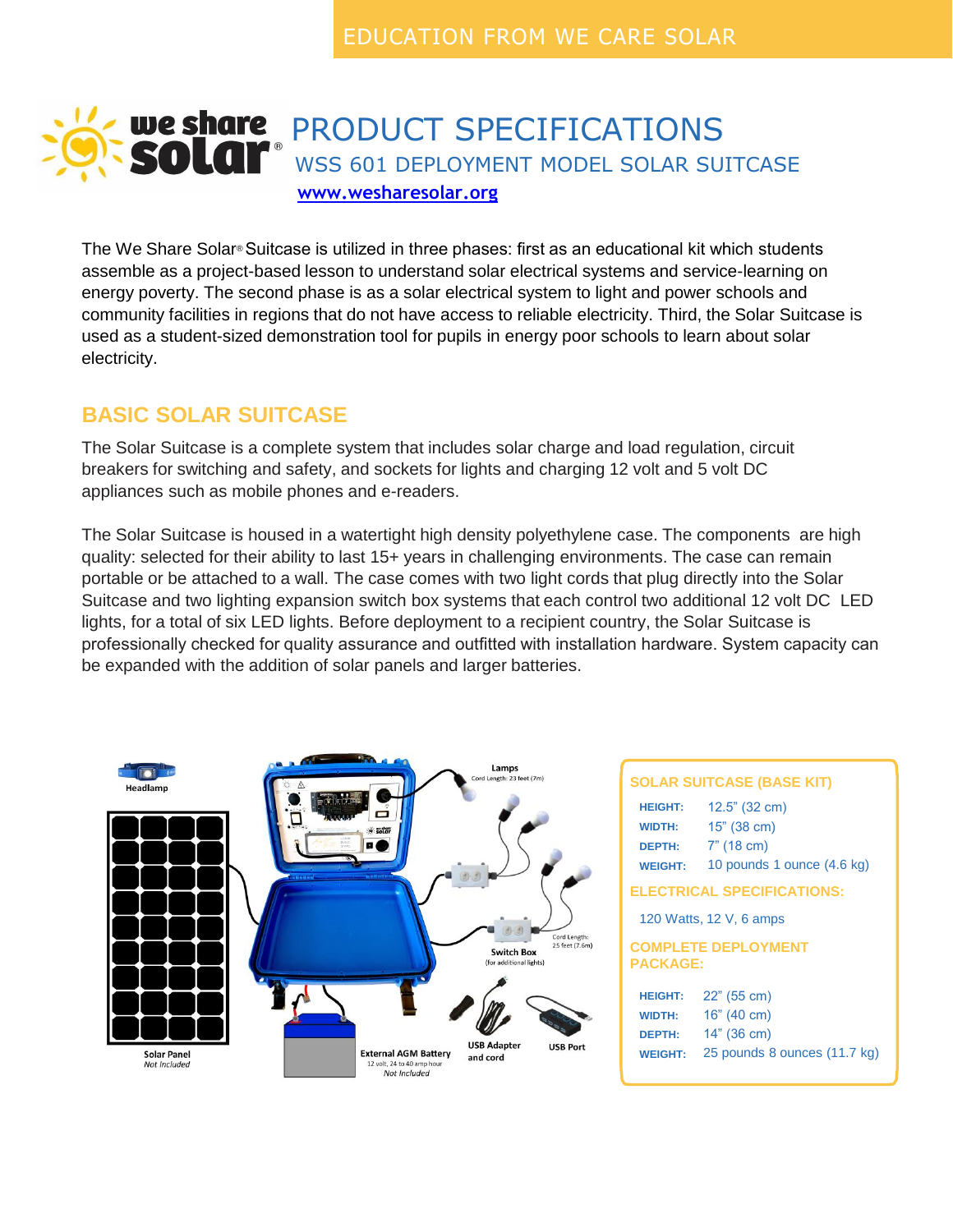# We share PRODUCT SPECIFICATIONS<br>SOLAI<sup>®</sup> WSS 601 DEPLOYMENT MODEL SOLAR SU WSS 601 DEPLOYMENT MODEL SOLAR SUITCASE **[www.wesharesolar.org](http://www.wecaresolar.org/)**

The We Share Solar® Suitcase is utilized in three phases: first as an educational kit which students assemble as a project-based lesson to understand solar electrical systems and service-learning on energy poverty. The second phase is as a solar electrical system to light and power schools and community facilities in regions that do not have access to reliable electricity. Third, the Solar Suitcase is used as a student-sized demonstration tool for pupils in energy poor schools to learn about solar electricity.

### **BASIC SOLAR SUITCASE**

The Solar Suitcase is a complete system that includes solar charge and load regulation, circuit breakers for switching and safety, and sockets for lights and charging 12 volt and 5 volt DC appliances such as mobile phones and e-readers.

The Solar Suitcase is housed in a watertight high density polyethylene case. The components are high quality: selected for their ability to last 15+ years in challenging environments. The case can remain portable or be attached to a wall. The case comes with two light cords that plug directly into the Solar Suitcase and two lighting expansion switch box systems that each control two additional 12 volt DC LED lights, for a total of six LED lights. Before deployment to a recipient country, the Solar Suitcase is professionally checked for quality assurance and outfitted with installation hardware. System capacity can be expanded with the addition of solar panels and larger batteries.



#### **SOLAR SUITCASE (BASE KIT)**

| SOLAR SUITCASE (BASE KIT)                                          |                                                                            |  |  |
|--------------------------------------------------------------------|----------------------------------------------------------------------------|--|--|
| <b>HEIGHT:</b><br><b>WIDTH:</b><br><b>DEPTH:</b><br><b>WEIGHT:</b> | 12.5" (32 cm)<br>15" (38 cm)<br>$7"$ (18 cm)<br>10 pounds 1 ounce (4.6 kg) |  |  |
| <b>ELECTRICAL SPECIFICATIONS:</b>                                  |                                                                            |  |  |
| 120 Watts, 12 V, 6 amps                                            |                                                                            |  |  |
| <b>COMPLETE DEPLOYMENT</b><br><b>PACKAGE:</b>                      |                                                                            |  |  |
| <b>HEIGHT:</b>                                                     | 22" (55 cm)                                                                |  |  |
| <b>WIDTH:</b>                                                      | 16" (40 cm)                                                                |  |  |
| <b>DEPTH:</b>                                                      | 14" (36 cm)                                                                |  |  |
| <b>WEIGHT:</b>                                                     | 25 pounds 8 ounces (11.7 kg)                                               |  |  |